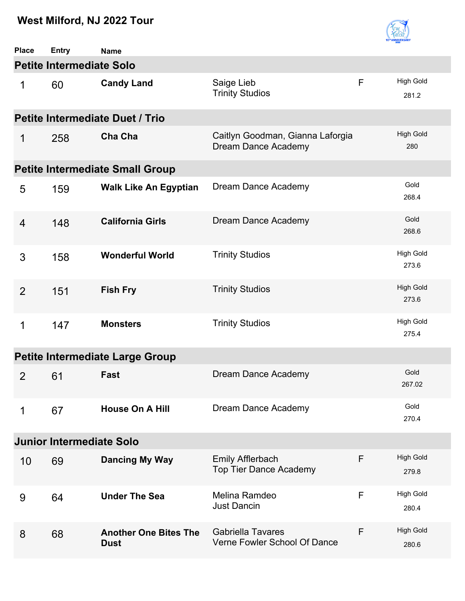

| <b>Place</b>   | <b>Entry</b>                    | <b>Name</b>                                 |                                                                |   |                           |  |  |  |
|----------------|---------------------------------|---------------------------------------------|----------------------------------------------------------------|---|---------------------------|--|--|--|
|                | <b>Petite Intermediate Solo</b> |                                             |                                                                |   |                           |  |  |  |
| 1              | 60                              | <b>Candy Land</b>                           | Saige Lieb<br><b>Trinity Studios</b>                           | F | <b>High Gold</b><br>281.2 |  |  |  |
|                |                                 | <b>Petite Intermediate Duet / Trio</b>      |                                                                |   |                           |  |  |  |
| 1              | 258                             | Cha Cha                                     | Caitlyn Goodman, Gianna Laforgia<br><b>Dream Dance Academy</b> |   | <b>High Gold</b><br>280   |  |  |  |
|                |                                 | <b>Petite Intermediate Small Group</b>      |                                                                |   |                           |  |  |  |
| 5              | 159                             | <b>Walk Like An Egyptian</b>                | Dream Dance Academy                                            |   | Gold<br>268.4             |  |  |  |
| $\overline{4}$ | 148                             | <b>California Girls</b>                     | Dream Dance Academy                                            |   | Gold<br>268.6             |  |  |  |
| 3              | 158                             | <b>Wonderful World</b>                      | <b>Trinity Studios</b>                                         |   | <b>High Gold</b><br>273.6 |  |  |  |
| $\overline{2}$ | 151                             | <b>Fish Fry</b>                             | <b>Trinity Studios</b>                                         |   | <b>High Gold</b><br>273.6 |  |  |  |
| 1              | 147                             | <b>Monsters</b>                             | <b>Trinity Studios</b>                                         |   | <b>High Gold</b><br>275.4 |  |  |  |
|                |                                 | <b>Petite Intermediate Large Group</b>      |                                                                |   |                           |  |  |  |
| 2              | 61                              | Fast                                        | Dream Dance Academy                                            |   | Gold<br>267.02            |  |  |  |
| 1              | 67                              | <b>House On A Hill</b>                      | Dream Dance Academy                                            |   | Gold<br>270.4             |  |  |  |
|                | <b>Junior Intermediate Solo</b> |                                             |                                                                |   |                           |  |  |  |
| 10             | 69                              | <b>Dancing My Way</b>                       | <b>Emily Afflerbach</b><br><b>Top Tier Dance Academy</b>       | F | <b>High Gold</b><br>279.8 |  |  |  |
| 9              | 64                              | <b>Under The Sea</b>                        | Melina Ramdeo<br><b>Just Dancin</b>                            | F | <b>High Gold</b><br>280.4 |  |  |  |
| 8              | 68                              | <b>Another One Bites The</b><br><b>Dust</b> | <b>Gabriella Tavares</b><br>Verne Fowler School Of Dance       | F | <b>High Gold</b><br>280.6 |  |  |  |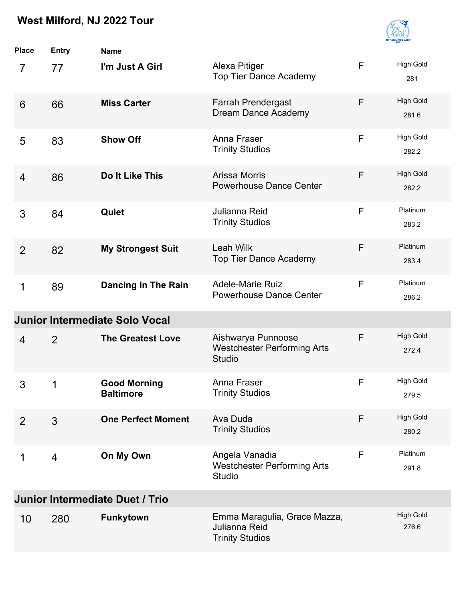

| <b>Place</b>   | <b>Entry</b>   | <b>Name</b>                             |                                                                           |             |                           |
|----------------|----------------|-----------------------------------------|---------------------------------------------------------------------------|-------------|---------------------------|
| $\overline{7}$ | 77             | I'm Just A Girl                         | Alexa Pitiger<br><b>Top Tier Dance Academy</b>                            | F           | <b>High Gold</b><br>281   |
| 6              | 66             | <b>Miss Carter</b>                      | <b>Farrah Prendergast</b><br>Dream Dance Academy                          | F           | <b>High Gold</b><br>281.6 |
| 5              | 83             | <b>Show Off</b>                         | Anna Fraser<br><b>Trinity Studios</b>                                     | F           | <b>High Gold</b><br>282.2 |
| $\overline{4}$ | 86             | Do It Like This                         | Arissa Morris<br><b>Powerhouse Dance Center</b>                           | F           | <b>High Gold</b><br>282.2 |
| 3              | 84             | Quiet                                   | Julianna Reid<br><b>Trinity Studios</b>                                   | F           | Platinum<br>283.2         |
| $\overline{2}$ | 82             | <b>My Strongest Suit</b>                | <b>Leah Wilk</b><br><b>Top Tier Dance Academy</b>                         | F           | Platinum<br>283.4         |
| 1              | 89             | <b>Dancing In The Rain</b>              | <b>Adele-Marie Ruiz</b><br><b>Powerhouse Dance Center</b>                 | F           | Platinum<br>286.2         |
|                |                | <b>Junior Intermediate Solo Vocal</b>   |                                                                           |             |                           |
| $\overline{4}$ | 2              | <b>The Greatest Love</b>                | Aishwarya Punnoose<br><b>Westchester Performing Arts</b><br><b>Studio</b> | F           | <b>High Gold</b><br>272.4 |
| 3              | 1              | <b>Good Morning</b><br><b>Baltimore</b> | Anna Fraser<br><b>Trinity Studios</b>                                     | $\mathsf F$ | <b>High Gold</b><br>279.5 |
| 2              | 3              | <b>One Perfect Moment</b>               | Ava Duda<br><b>Trinity Studios</b>                                        | F           | <b>High Gold</b><br>280.2 |
| 1              | $\overline{4}$ | On My Own                               | Angela Vanadia<br><b>Westchester Performing Arts</b><br>Studio            | F           | Platinum<br>291.8         |
|                |                | <b>Junior Intermediate Duet / Trio</b>  |                                                                           |             |                           |
| 10             | 280            | <b>Funkytown</b>                        | Emma Maragulia, Grace Mazza,<br>Julianna Reid<br><b>Trinity Studios</b>   |             | <b>High Gold</b><br>276.6 |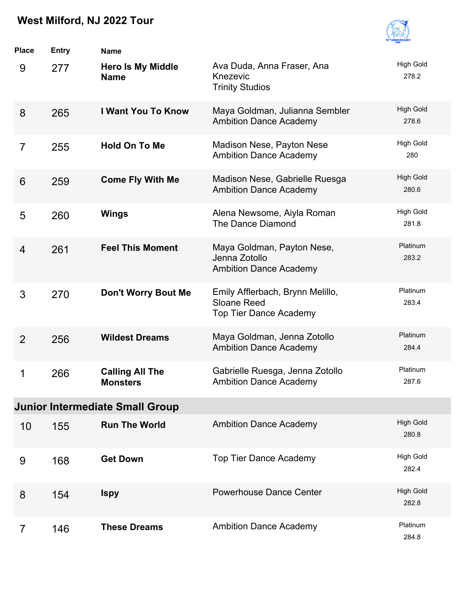

| <b>Place</b>   | <b>Entry</b> | <b>Name</b>                               |                                                                                  |                           |
|----------------|--------------|-------------------------------------------|----------------------------------------------------------------------------------|---------------------------|
| 9              | 277          | <b>Hero Is My Middle</b><br><b>Name</b>   | Ava Duda, Anna Fraser, Ana<br>Knezevic<br><b>Trinity Studios</b>                 | <b>High Gold</b><br>278.2 |
| 8              | 265          | <b>I Want You To Know</b>                 | Maya Goldman, Julianna Sembler<br><b>Ambition Dance Academy</b>                  | <b>High Gold</b><br>278.6 |
| $\overline{7}$ | 255          | <b>Hold On To Me</b>                      | Madison Nese, Payton Nese<br><b>Ambition Dance Academy</b>                       | <b>High Gold</b><br>280   |
| 6              | 259          | <b>Come Fly With Me</b>                   | Madison Nese, Gabrielle Ruesga<br><b>Ambition Dance Academy</b>                  | <b>High Gold</b><br>280.6 |
| 5              | 260          | <b>Wings</b>                              | Alena Newsome, Aiyla Roman<br>The Dance Diamond                                  | <b>High Gold</b><br>281.8 |
| $\overline{4}$ | 261          | <b>Feel This Moment</b>                   | Maya Goldman, Payton Nese,<br>Jenna Zotollo<br><b>Ambition Dance Academy</b>     | Platinum<br>283.2         |
| 3              | 270          | Don't Worry Bout Me                       | Emily Afflerbach, Brynn Melillo,<br>Sloane Reed<br><b>Top Tier Dance Academy</b> | Platinum<br>283.4         |
| $\overline{2}$ | 256          | <b>Wildest Dreams</b>                     | Maya Goldman, Jenna Zotollo<br><b>Ambition Dance Academy</b>                     | Platinum<br>284.4         |
| 1              | 266          | <b>Calling All The</b><br><b>Monsters</b> | Gabrielle Ruesga, Jenna Zotollo<br><b>Ambition Dance Academy</b>                 | Platinum<br>287.6         |
|                |              | <b>Junior Intermediate Small Group</b>    |                                                                                  |                           |
| 10             | 155          | <b>Run The World</b>                      | <b>Ambition Dance Academy</b>                                                    | <b>High Gold</b><br>280.8 |
| 9              | 168          | <b>Get Down</b>                           | <b>Top Tier Dance Academy</b>                                                    | <b>High Gold</b><br>282.4 |
| 8              | 154          | <b>Ispy</b>                               | <b>Powerhouse Dance Center</b>                                                   | <b>High Gold</b><br>282.8 |
| $\overline{7}$ | 146          | <b>These Dreams</b>                       | <b>Ambition Dance Academy</b>                                                    | Platinum<br>284.8         |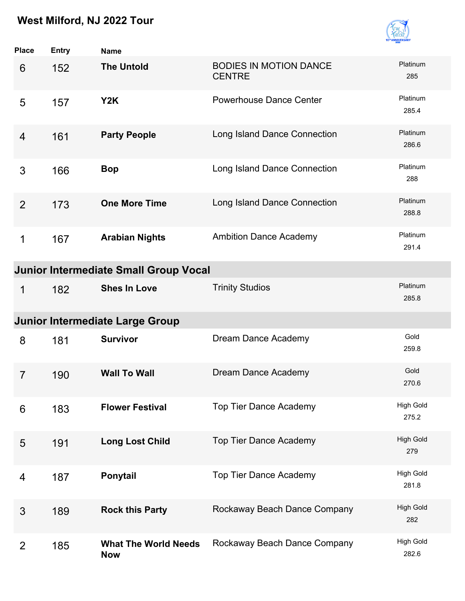

| <b>Place</b>   | <b>Entry</b> | <b>Name</b>                                  |                                                |                           |
|----------------|--------------|----------------------------------------------|------------------------------------------------|---------------------------|
| 6              | 152          | <b>The Untold</b>                            | <b>BODIES IN MOTION DANCE</b><br><b>CENTRE</b> | Platinum<br>285           |
| 5              | 157          | Y2K                                          | <b>Powerhouse Dance Center</b>                 | Platinum<br>285.4         |
| 4              | 161          | <b>Party People</b>                          | Long Island Dance Connection                   | Platinum<br>286.6         |
| 3              | 166          | <b>Bop</b>                                   | Long Island Dance Connection                   | Platinum<br>288           |
| 2              | 173          | <b>One More Time</b>                         | Long Island Dance Connection                   | Platinum<br>288.8         |
| 1              | 167          | <b>Arabian Nights</b>                        | <b>Ambition Dance Academy</b>                  | Platinum<br>291.4         |
|                |              | <b>Junior Intermediate Small Group Vocal</b> |                                                |                           |
| 1              | 182          | <b>Shes In Love</b>                          | <b>Trinity Studios</b>                         | Platinum<br>285.8         |
|                |              | <b>Junior Intermediate Large Group</b>       |                                                |                           |
| 8              | 181          | <b>Survivor</b>                              | Dream Dance Academy                            | Gold<br>259.8             |
| $\overline{7}$ | 190          | <b>Wall To Wall</b>                          | Dream Dance Academy                            | Gold<br>270.6             |
| 6              | 183          | <b>Flower Festival</b>                       | <b>Top Tier Dance Academy</b>                  | <b>High Gold</b><br>275.2 |
| 5              | 191          | <b>Long Lost Child</b>                       | <b>Top Tier Dance Academy</b>                  | <b>High Gold</b><br>279   |
| 4              | 187          | Ponytail                                     | <b>Top Tier Dance Academy</b>                  | <b>High Gold</b><br>281.8 |
| 3              | 189          | <b>Rock this Party</b>                       | Rockaway Beach Dance Company                   | <b>High Gold</b><br>282   |
| $\overline{2}$ | 185          | <b>What The World Needs</b><br><b>Now</b>    | Rockaway Beach Dance Company                   | <b>High Gold</b><br>282.6 |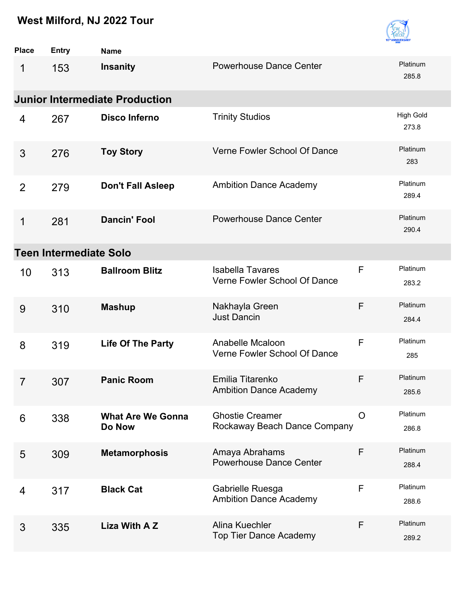

| <b>Place</b>   | <b>Entry</b>                  | <b>Name</b>                           |                                                         |         |                           |
|----------------|-------------------------------|---------------------------------------|---------------------------------------------------------|---------|---------------------------|
| 1              | 153                           | <b>Insanity</b>                       | <b>Powerhouse Dance Center</b>                          |         | Platinum<br>285.8         |
|                |                               | <b>Junior Intermediate Production</b> |                                                         |         |                           |
| 4              | 267                           | <b>Disco Inferno</b>                  | <b>Trinity Studios</b>                                  |         | <b>High Gold</b><br>273.8 |
| 3              | 276                           | <b>Toy Story</b>                      | Verne Fowler School Of Dance                            |         | Platinum<br>283           |
| 2              | 279                           | <b>Don't Fall Asleep</b>              | <b>Ambition Dance Academy</b>                           |         | Platinum<br>289.4         |
| 1              | 281                           | <b>Dancin' Fool</b>                   | <b>Powerhouse Dance Center</b>                          |         | Platinum<br>290.4         |
|                | <b>Teen Intermediate Solo</b> |                                       |                                                         |         |                           |
| 10             | 313                           | <b>Ballroom Blitz</b>                 | <b>Isabella Tavares</b><br>Verne Fowler School Of Dance | F       | Platinum<br>283.2         |
| 9              | 310                           | <b>Mashup</b>                         | Nakhayla Green<br><b>Just Dancin</b>                    | F       | Platinum<br>284.4         |
| 8              | 319                           | <b>Life Of The Party</b>              | Anabelle Mcaloon<br>Verne Fowler School Of Dance        | F       | Platinum<br>285           |
| $\overline{7}$ | 307                           | <b>Panic Room</b>                     | Emilia Titarenko<br><b>Ambition Dance Academy</b>       | F       | Platinum<br>285.6         |
| 6              | 338                           | <b>What Are We Gonna</b><br>Do Now    | <b>Ghostie Creamer</b><br>Rockaway Beach Dance Company  | $\circ$ | Platinum<br>286.8         |
| 5              | 309                           | <b>Metamorphosis</b>                  | Amaya Abrahams<br><b>Powerhouse Dance Center</b>        | F       | Platinum<br>288.4         |
| 4              | 317                           | <b>Black Cat</b>                      | Gabrielle Ruesga<br><b>Ambition Dance Academy</b>       | F       | Platinum<br>288.6         |
| 3              | 335                           | Liza With A Z                         | Alina Kuechler<br><b>Top Tier Dance Academy</b>         | F       | Platinum<br>289.2         |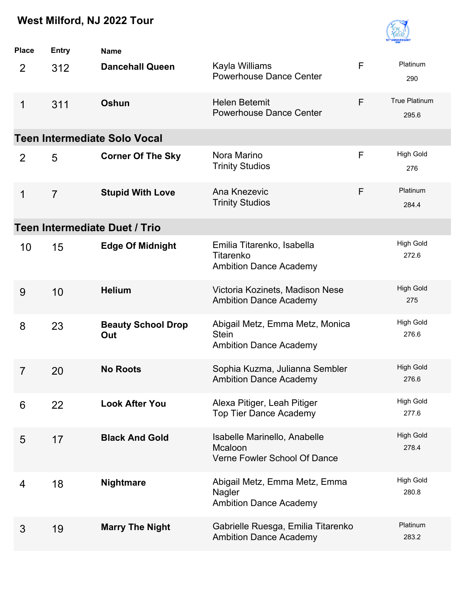

| <b>Place</b>   | <b>Entry</b>   | <b>Name</b>                          |                                                                                  |   |                               |
|----------------|----------------|--------------------------------------|----------------------------------------------------------------------------------|---|-------------------------------|
| $\overline{2}$ | 312            | <b>Dancehall Queen</b>               | Kayla Williams<br><b>Powerhouse Dance Center</b>                                 | F | Platinum<br>290               |
| 1              | 311            | Oshun                                | <b>Helen Betemit</b><br><b>Powerhouse Dance Center</b>                           | F | <b>True Platinum</b><br>295.6 |
|                |                | <b>Teen Intermediate Solo Vocal</b>  |                                                                                  |   |                               |
| 2              | 5              | <b>Corner Of The Sky</b>             | Nora Marino<br><b>Trinity Studios</b>                                            | F | <b>High Gold</b><br>276       |
| 1              | $\overline{7}$ | <b>Stupid With Love</b>              | Ana Knezevic<br><b>Trinity Studios</b>                                           | F | Platinum<br>284.4             |
|                |                | <b>Teen Intermediate Duet / Trio</b> |                                                                                  |   |                               |
| 10             | 15             | <b>Edge Of Midnight</b>              | Emilia Titarenko, Isabella<br>Titarenko<br><b>Ambition Dance Academy</b>         |   | <b>High Gold</b><br>272.6     |
| 9              | 10             | <b>Helium</b>                        | Victoria Kozinets, Madison Nese<br><b>Ambition Dance Academy</b>                 |   | <b>High Gold</b><br>275       |
| 8              | 23             | <b>Beauty School Drop</b><br>Out     | Abigail Metz, Emma Metz, Monica<br><b>Stein</b><br><b>Ambition Dance Academy</b> |   | <b>High Gold</b><br>276.6     |
| 7              | 20             | <b>No Roots</b>                      | Sophia Kuzma, Julianna Sembler<br><b>Ambition Dance Academy</b>                  |   | <b>High Gold</b><br>276.6     |
| 6              | 22             | <b>Look After You</b>                | Alexa Pitiger, Leah Pitiger<br><b>Top Tier Dance Academy</b>                     |   | <b>High Gold</b><br>277.6     |
| 5              | 17             | <b>Black And Gold</b>                | Isabelle Marinello, Anabelle<br>Mcaloon<br>Verne Fowler School Of Dance          |   | <b>High Gold</b><br>278.4     |
| 4              | 18             | <b>Nightmare</b>                     | Abigail Metz, Emma Metz, Emma<br>Nagler<br><b>Ambition Dance Academy</b>         |   | <b>High Gold</b><br>280.8     |
| 3              | 19             | <b>Marry The Night</b>               | Gabrielle Ruesga, Emilia Titarenko<br><b>Ambition Dance Academy</b>              |   | Platinum<br>283.2             |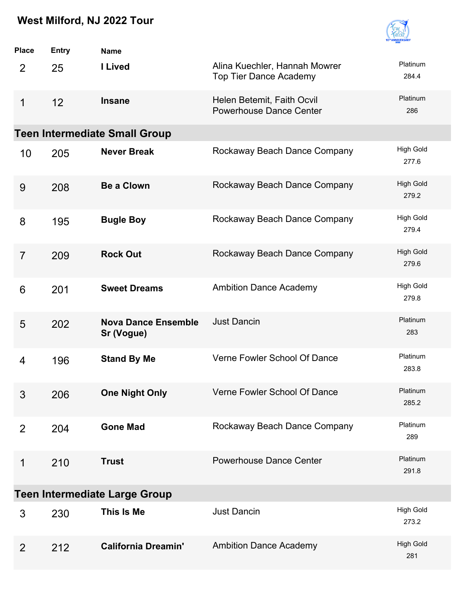

| <b>Place</b>   | <b>Entry</b> | <b>Name</b>                              |                                                                |                           |
|----------------|--------------|------------------------------------------|----------------------------------------------------------------|---------------------------|
| $\overline{2}$ | 25           | I Lived                                  | Alina Kuechler, Hannah Mowrer<br><b>Top Tier Dance Academy</b> | Platinum<br>284.4         |
| 1              | 12           | <b>Insane</b>                            | Helen Betemit, Faith Ocvil<br><b>Powerhouse Dance Center</b>   | Platinum<br>286           |
|                |              | <b>Teen Intermediate Small Group</b>     |                                                                |                           |
| 10             | 205          | <b>Never Break</b>                       | Rockaway Beach Dance Company                                   | <b>High Gold</b><br>277.6 |
| 9              | 208          | <b>Be a Clown</b>                        | Rockaway Beach Dance Company                                   | <b>High Gold</b><br>279.2 |
| 8              | 195          | <b>Bugle Boy</b>                         | Rockaway Beach Dance Company                                   | <b>High Gold</b><br>279.4 |
| $\overline{7}$ | 209          | <b>Rock Out</b>                          | Rockaway Beach Dance Company                                   | <b>High Gold</b><br>279.6 |
| 6              | 201          | <b>Sweet Dreams</b>                      | <b>Ambition Dance Academy</b>                                  | <b>High Gold</b><br>279.8 |
| 5              | 202          | <b>Nova Dance Ensemble</b><br>Sr (Vogue) | <b>Just Dancin</b>                                             | Platinum<br>283           |
| 4              | 196          | <b>Stand By Me</b>                       | Verne Fowler School Of Dance                                   | Platinum<br>283.8         |
| 3              | 206          | <b>One Night Only</b>                    | Verne Fowler School Of Dance                                   | Platinum<br>285.2         |
| 2              | 204          | <b>Gone Mad</b>                          | Rockaway Beach Dance Company                                   | Platinum<br>289           |
| 1              | 210          | <b>Trust</b>                             | <b>Powerhouse Dance Center</b>                                 | Platinum<br>291.8         |
|                |              | <b>Teen Intermediate Large Group</b>     |                                                                |                           |
| 3              | 230          | This Is Me                               | <b>Just Dancin</b>                                             | <b>High Gold</b><br>273.2 |
| $\overline{2}$ | 212          | <b>California Dreamin'</b>               | <b>Ambition Dance Academy</b>                                  | <b>High Gold</b><br>281   |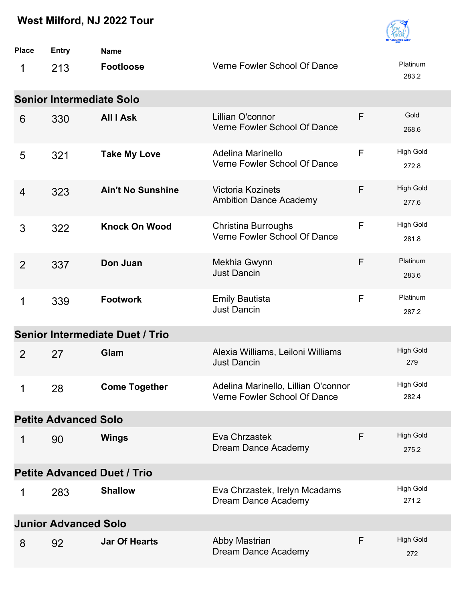

| <b>Place</b>   | <b>Entry</b>                    | <b>Name</b>                            |                                                                     |   |                           |
|----------------|---------------------------------|----------------------------------------|---------------------------------------------------------------------|---|---------------------------|
| 1              | 213                             | <b>Footloose</b>                       | Verne Fowler School Of Dance                                        |   | Platinum<br>283.2         |
|                | <b>Senior Intermediate Solo</b> |                                        |                                                                     |   |                           |
| 6              | 330                             | <b>All I Ask</b>                       | Lillian O'connor<br>Verne Fowler School Of Dance                    | F | Gold<br>268.6             |
| 5              | 321                             | <b>Take My Love</b>                    | Adelina Marinello<br>Verne Fowler School Of Dance                   | F | <b>High Gold</b><br>272.8 |
| 4              | 323                             | <b>Ain't No Sunshine</b>               | <b>Victoria Kozinets</b><br><b>Ambition Dance Academy</b>           | F | <b>High Gold</b><br>277.6 |
| 3              | 322                             | <b>Knock On Wood</b>                   | <b>Christina Burroughs</b><br>Verne Fowler School Of Dance          | F | <b>High Gold</b><br>281.8 |
| $\overline{2}$ | 337                             | Don Juan                               | Mekhia Gwynn<br><b>Just Dancin</b>                                  | F | Platinum<br>283.6         |
| 1              | 339                             | <b>Footwork</b>                        | <b>Emily Bautista</b><br>Just Dancin                                | F | Platinum<br>287.2         |
|                |                                 | <b>Senior Intermediate Duet / Trio</b> |                                                                     |   |                           |
| $\overline{2}$ | 27                              | Glam                                   | Alexia Williams, Leiloni Williams<br><b>Just Dancin</b>             |   | <b>High Gold</b><br>279   |
| 1              | 28                              | <b>Come Together</b>                   | Adelina Marinello, Lillian O'connor<br>Verne Fowler School Of Dance |   | High Gold<br>282.4        |
|                | <b>Petite Advanced Solo</b>     |                                        |                                                                     |   |                           |
| 1              | 90                              | <b>Wings</b>                           | Eva Chrzastek<br>Dream Dance Academy                                | F | <b>High Gold</b><br>275.2 |
|                |                                 | <b>Petite Advanced Duet / Trio</b>     |                                                                     |   |                           |
| 1              | 283                             | <b>Shallow</b>                         | Eva Chrzastek, Irelyn Mcadams<br>Dream Dance Academy                |   | <b>High Gold</b><br>271.2 |
|                | <b>Junior Advanced Solo</b>     |                                        |                                                                     |   |                           |
| 8              | 92                              | <b>Jar Of Hearts</b>                   | Abby Mastrian<br>Dream Dance Academy                                | F | <b>High Gold</b><br>272   |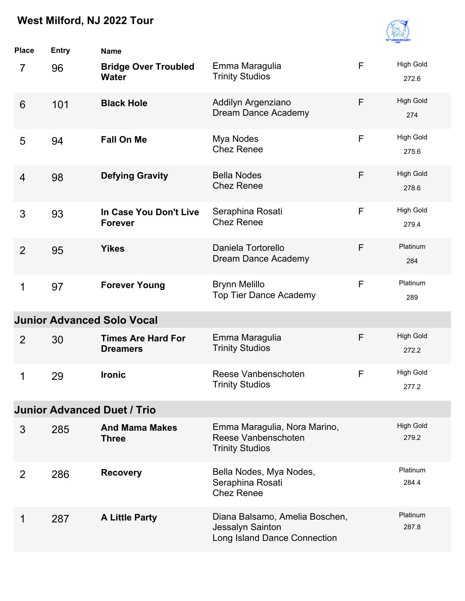

| <b>Place</b>    | <b>Entry</b> | <b>Name</b>                                  |                                                                                    |              |                           |
|-----------------|--------------|----------------------------------------------|------------------------------------------------------------------------------------|--------------|---------------------------|
| $\overline{7}$  | 96           | <b>Bridge Over Troubled</b><br><b>Water</b>  | Emma Maragulia<br><b>Trinity Studios</b>                                           | F            | <b>High Gold</b><br>272.6 |
| $6\phantom{1}6$ | 101          | <b>Black Hole</b>                            | Addilyn Argenziano<br>Dream Dance Academy                                          | F            | <b>High Gold</b><br>274   |
| 5               | 94           | <b>Fall On Me</b>                            | Mya Nodes<br><b>Chez Renee</b>                                                     | F            | <b>High Gold</b><br>275.6 |
| $\overline{4}$  | 98           | <b>Defying Gravity</b>                       | <b>Bella Nodes</b><br><b>Chez Renee</b>                                            | F            | <b>High Gold</b><br>278.6 |
| 3               | 93           | In Case You Don't Live<br><b>Forever</b>     | Seraphina Rosati<br><b>Chez Renee</b>                                              | F            | <b>High Gold</b><br>279.4 |
| $\overline{2}$  | 95           | <b>Yikes</b>                                 | Daniela Tortorello<br>Dream Dance Academy                                          | F            | Platinum<br>284           |
| 1               | 97           | <b>Forever Young</b>                         | <b>Brynn Melillo</b><br><b>Top Tier Dance Academy</b>                              | F            | Platinum<br>289           |
|                 |              | <b>Junior Advanced Solo Vocal</b>            |                                                                                    |              |                           |
| $\overline{2}$  | 30           | <b>Times Are Hard For</b><br><b>Dreamers</b> | Emma Maragulia<br><b>Trinity Studios</b>                                           | F            | <b>High Gold</b><br>272.2 |
| 1               | 29           | <b>Ironic</b>                                | Reese Vanbenschoten<br><b>Trinity Studios</b>                                      | $\mathsf{F}$ | <b>High Gold</b><br>277.2 |
|                 |              | <b>Junior Advanced Duet / Trio</b>           |                                                                                    |              |                           |
| 3               | 285          | <b>And Mama Makes</b><br><b>Three</b>        | Emma Maragulia, Nora Marino,<br>Reese Vanbenschoten<br><b>Trinity Studios</b>      |              | <b>High Gold</b><br>279.2 |
| 2               | 286          | <b>Recovery</b>                              | Bella Nodes, Mya Nodes,<br>Seraphina Rosati<br><b>Chez Renee</b>                   |              | Platinum<br>284.4         |
| 1               | 287          | <b>A Little Party</b>                        | Diana Balsamo, Amelia Boschen,<br>Jessalyn Sainton<br>Long Island Dance Connection |              | Platinum<br>287.8         |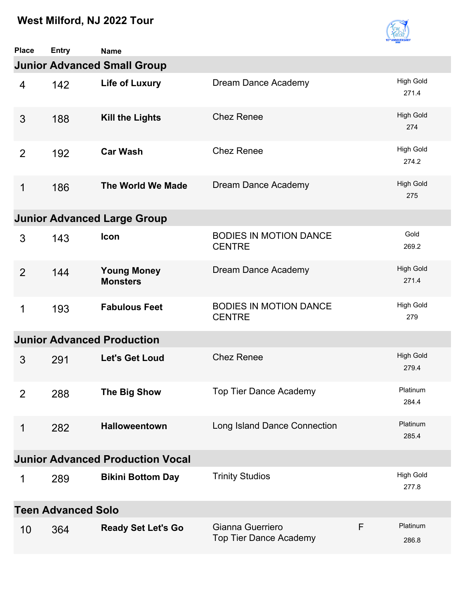

| <b>Place</b>   | <b>Entry</b>              | <b>Name</b>                             |                                                   |   |                           |
|----------------|---------------------------|-----------------------------------------|---------------------------------------------------|---|---------------------------|
|                |                           | <b>Junior Advanced Small Group</b>      |                                                   |   |                           |
| $\overline{4}$ | 142                       | <b>Life of Luxury</b>                   | Dream Dance Academy                               |   | <b>High Gold</b><br>271.4 |
| 3              | 188                       | <b>Kill the Lights</b>                  | <b>Chez Renee</b>                                 |   | <b>High Gold</b><br>274   |
| 2              | 192                       | <b>Car Wash</b>                         | <b>Chez Renee</b>                                 |   | <b>High Gold</b><br>274.2 |
| $\mathbf 1$    | 186                       | The World We Made                       | Dream Dance Academy                               |   | <b>High Gold</b><br>275   |
|                |                           | <b>Junior Advanced Large Group</b>      |                                                   |   |                           |
| 3              | 143                       | Icon                                    | <b>BODIES IN MOTION DANCE</b><br><b>CENTRE</b>    |   | Gold<br>269.2             |
| 2              | 144                       | <b>Young Money</b><br><b>Monsters</b>   | Dream Dance Academy                               |   | <b>High Gold</b><br>271.4 |
| 1              | 193                       | <b>Fabulous Feet</b>                    | <b>BODIES IN MOTION DANCE</b><br><b>CENTRE</b>    |   | <b>High Gold</b><br>279   |
|                |                           | <b>Junior Advanced Production</b>       |                                                   |   |                           |
| 3              | 291                       | <b>Let's Get Loud</b>                   | <b>Chez Renee</b>                                 |   | <b>High Gold</b><br>279.4 |
| 2              | 288                       | The Big Show                            | <b>Top Tier Dance Academy</b>                     |   | Platinum<br>284.4         |
| 1              | 282                       | <b>Halloweentown</b>                    | Long Island Dance Connection                      |   | Platinum<br>285.4         |
|                |                           | <b>Junior Advanced Production Vocal</b> |                                                   |   |                           |
| 1              | 289                       | <b>Bikini Bottom Day</b>                | <b>Trinity Studios</b>                            |   | <b>High Gold</b><br>277.8 |
|                | <b>Teen Advanced Solo</b> |                                         |                                                   |   |                           |
| 10             | 364                       | <b>Ready Set Let's Go</b>               | Gianna Guerriero<br><b>Top Tier Dance Academy</b> | F | Platinum<br>286.8         |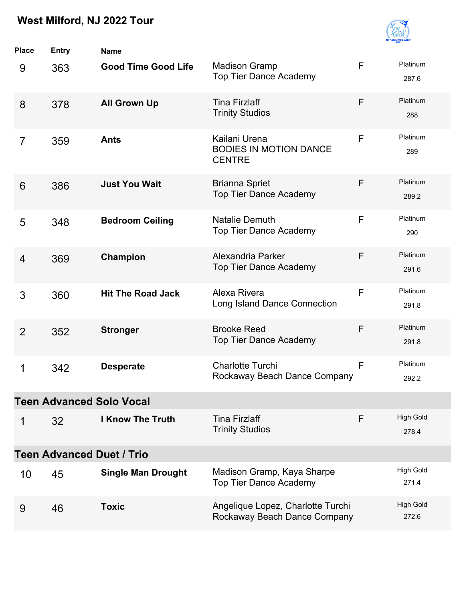

| <b>Place</b>   | <b>Entry</b> | <b>Name</b>                      |                                                                   |              |                           |
|----------------|--------------|----------------------------------|-------------------------------------------------------------------|--------------|---------------------------|
| 9              | 363          | <b>Good Time Good Life</b>       | <b>Madison Gramp</b><br><b>Top Tier Dance Academy</b>             | $\mathsf{F}$ | Platinum<br>287.6         |
| 8              | 378          | <b>All Grown Up</b>              | <b>Tina Firzlaff</b><br><b>Trinity Studios</b>                    | F            | Platinum<br>288           |
| 7              | 359          | <b>Ants</b>                      | Kailani Urena<br><b>BODIES IN MOTION DANCE</b><br><b>CENTRE</b>   | F            | Platinum<br>289           |
| 6              | 386          | <b>Just You Wait</b>             | <b>Brianna Spriet</b><br><b>Top Tier Dance Academy</b>            | F            | Platinum<br>289.2         |
| 5              | 348          | <b>Bedroom Ceiling</b>           | <b>Natalie Demuth</b><br><b>Top Tier Dance Academy</b>            | F            | Platinum<br>290           |
| $\overline{4}$ | 369          | Champion                         | Alexandria Parker<br><b>Top Tier Dance Academy</b>                | F            | Platinum<br>291.6         |
| 3              | 360          | <b>Hit The Road Jack</b>         | Alexa Rivera<br>Long Island Dance Connection                      | F            | Platinum<br>291.8         |
| 2              | 352          | <b>Stronger</b>                  | <b>Brooke Reed</b><br><b>Top Tier Dance Academy</b>               | F            | Platinum<br>291.8         |
| 1              | 342          | <b>Desperate</b>                 | <b>Charlotte Turchi</b><br>Rockaway Beach Dance Company           | F            | Platinum<br>292.2         |
|                |              | <b>Teen Advanced Solo Vocal</b>  |                                                                   |              |                           |
| 1              | 32           | <b>I Know The Truth</b>          | <b>Tina Firzlaff</b><br><b>Trinity Studios</b>                    | F            | <b>High Gold</b><br>278.4 |
|                |              | <b>Teen Advanced Duet / Trio</b> |                                                                   |              |                           |
| 10             | 45           | <b>Single Man Drought</b>        | Madison Gramp, Kaya Sharpe<br><b>Top Tier Dance Academy</b>       |              | <b>High Gold</b><br>271.4 |
| 9              | 46           | <b>Toxic</b>                     | Angelique Lopez, Charlotte Turchi<br>Rockaway Beach Dance Company |              | <b>High Gold</b><br>272.6 |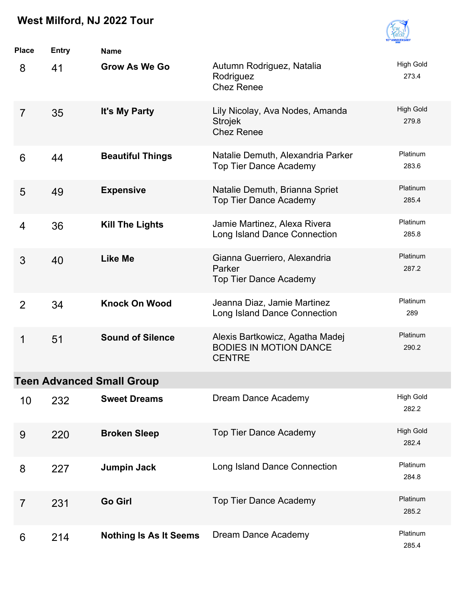

| <b>Place</b>   | <b>Entry</b> | <b>Name</b>                      |                                                                                   |                           |
|----------------|--------------|----------------------------------|-----------------------------------------------------------------------------------|---------------------------|
| 8              | 41           | <b>Grow As We Go</b>             | Autumn Rodriguez, Natalia<br>Rodriguez<br><b>Chez Renee</b>                       | <b>High Gold</b><br>273.4 |
| $\overline{7}$ | 35           | It's My Party                    | Lily Nicolay, Ava Nodes, Amanda<br><b>Strojek</b><br><b>Chez Renee</b>            | <b>High Gold</b><br>279.8 |
| 6              | 44           | <b>Beautiful Things</b>          | Natalie Demuth, Alexandria Parker<br><b>Top Tier Dance Academy</b>                | Platinum<br>283.6         |
| 5              | 49           | <b>Expensive</b>                 | Natalie Demuth, Brianna Spriet<br><b>Top Tier Dance Academy</b>                   | Platinum<br>285.4         |
| 4              | 36           | <b>Kill The Lights</b>           | Jamie Martinez, Alexa Rivera<br>Long Island Dance Connection                      | Platinum<br>285.8         |
| 3              | 40           | <b>Like Me</b>                   | Gianna Guerriero, Alexandria<br>Parker<br><b>Top Tier Dance Academy</b>           | Platinum<br>287.2         |
| 2              | 34           | <b>Knock On Wood</b>             | Jeanna Diaz, Jamie Martinez<br>Long Island Dance Connection                       | Platinum<br>289           |
| 1              | 51           | <b>Sound of Silence</b>          | Alexis Bartkowicz, Agatha Madej<br><b>BODIES IN MOTION DANCE</b><br><b>CENTRE</b> | Platinum<br>290.2         |
|                |              | <b>Teen Advanced Small Group</b> |                                                                                   |                           |
| 10             | 232          | <b>Sweet Dreams</b>              | Dream Dance Academy                                                               | <b>High Gold</b><br>282.2 |
| 9              | 220          | <b>Broken Sleep</b>              | <b>Top Tier Dance Academy</b>                                                     | <b>High Gold</b><br>282.4 |
| 8              | 227          | <b>Jumpin Jack</b>               | Long Island Dance Connection                                                      | Platinum<br>284.8         |
| $\overline{7}$ | 231          | <b>Go Girl</b>                   | <b>Top Tier Dance Academy</b>                                                     | Platinum<br>285.2         |
| 6              | 214          | <b>Nothing Is As It Seems</b>    | Dream Dance Academy                                                               | Platinum<br>285.4         |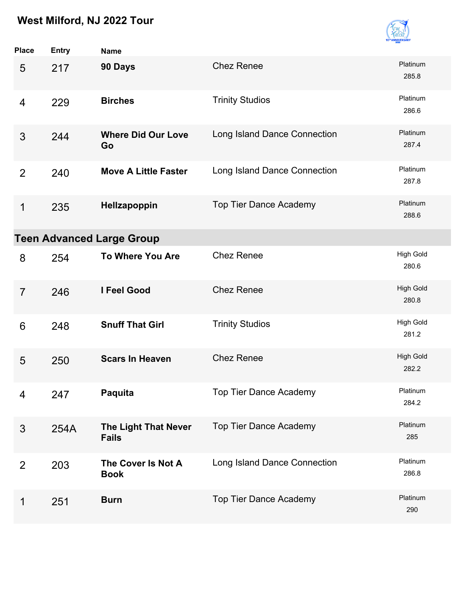

| <b>Place</b>   | Entry | <b>Name</b>                          |                               |                           |
|----------------|-------|--------------------------------------|-------------------------------|---------------------------|
| 5              | 217   | 90 Days                              | <b>Chez Renee</b>             | Platinum<br>285.8         |
| 4              | 229   | <b>Birches</b>                       | <b>Trinity Studios</b>        | Platinum<br>286.6         |
| 3              | 244   | <b>Where Did Our Love</b><br>Go      | Long Island Dance Connection  | Platinum<br>287.4         |
| $\overline{2}$ | 240   | <b>Move A Little Faster</b>          | Long Island Dance Connection  | Platinum<br>287.8         |
| 1              | 235   | Hellzapoppin                         | <b>Top Tier Dance Academy</b> | Platinum<br>288.6         |
|                |       | <b>Teen Advanced Large Group</b>     |                               |                           |
| 8              | 254   | <b>To Where You Are</b>              | <b>Chez Renee</b>             | <b>High Gold</b><br>280.6 |
| $\overline{7}$ | 246   | <b>I Feel Good</b>                   | <b>Chez Renee</b>             | <b>High Gold</b><br>280.8 |
| 6              | 248   | <b>Snuff That Girl</b>               | <b>Trinity Studios</b>        | <b>High Gold</b><br>281.2 |
| 5              | 250   | <b>Scars In Heaven</b>               | <b>Chez Renee</b>             | <b>High Gold</b><br>282.2 |
| 4              | 247   | Paquita                              | <b>Top Tier Dance Academy</b> | Platinum<br>284.2         |
| 3              | 254A  | The Light That Never<br><b>Fails</b> | <b>Top Tier Dance Academy</b> | Platinum<br>285           |
| 2              | 203   | The Cover Is Not A<br><b>Book</b>    | Long Island Dance Connection  | Platinum<br>286.8         |
| 1              | 251   | <b>Burn</b>                          | Top Tier Dance Academy        | Platinum<br>290           |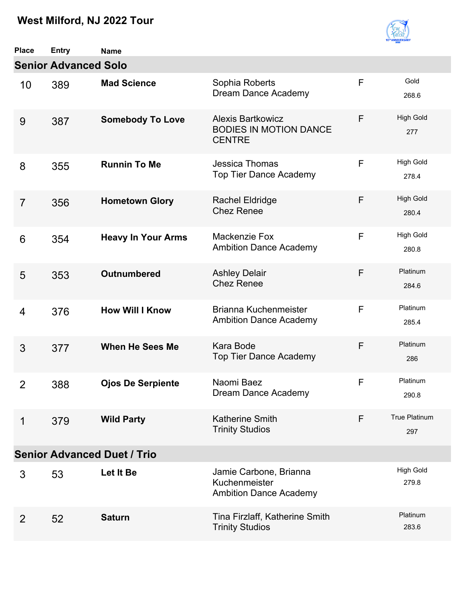

| Place          | <b>Entry</b>                       | <b>Name</b>               |                                                                            |   |                           |  |  |  |  |
|----------------|------------------------------------|---------------------------|----------------------------------------------------------------------------|---|---------------------------|--|--|--|--|
|                | <b>Senior Advanced Solo</b>        |                           |                                                                            |   |                           |  |  |  |  |
| 10             | 389                                | <b>Mad Science</b>        | Sophia Roberts<br>Dream Dance Academy                                      | F | Gold<br>268.6             |  |  |  |  |
| 9              | 387                                | <b>Somebody To Love</b>   | <b>Alexis Bartkowicz</b><br><b>BODIES IN MOTION DANCE</b><br><b>CENTRE</b> | F | <b>High Gold</b><br>277   |  |  |  |  |
| 8              | 355                                | <b>Runnin To Me</b>       | Jessica Thomas<br><b>Top Tier Dance Academy</b>                            | F | <b>High Gold</b><br>278.4 |  |  |  |  |
| $\overline{7}$ | 356                                | <b>Hometown Glory</b>     | <b>Rachel Eldridge</b><br><b>Chez Renee</b>                                | F | <b>High Gold</b><br>280.4 |  |  |  |  |
| 6              | 354                                | <b>Heavy In Your Arms</b> | Mackenzie Fox<br><b>Ambition Dance Academy</b>                             | F | <b>High Gold</b><br>280.8 |  |  |  |  |
| 5              | 353                                | <b>Outnumbered</b>        | <b>Ashley Delair</b><br><b>Chez Renee</b>                                  | F | Platinum<br>284.6         |  |  |  |  |
| 4              | 376                                | <b>How Will I Know</b>    | Brianna Kuchenmeister<br><b>Ambition Dance Academy</b>                     | F | Platinum<br>285.4         |  |  |  |  |
| 3              | 377                                | <b>When He Sees Me</b>    | Kara Bode<br><b>Top Tier Dance Academy</b>                                 | F | Platinum<br>286           |  |  |  |  |
| 2              | 388                                | <b>Ojos De Serpiente</b>  | Naomi Baez<br>Dream Dance Academy                                          | F | Platinum<br>290.8         |  |  |  |  |
| 1              | 379                                | <b>Wild Party</b>         | <b>Katherine Smith</b><br><b>Trinity Studios</b>                           | F | True Platinum<br>297      |  |  |  |  |
|                | <b>Senior Advanced Duet / Trio</b> |                           |                                                                            |   |                           |  |  |  |  |
| 3              | 53                                 | Let It Be                 | Jamie Carbone, Brianna<br>Kuchenmeister<br><b>Ambition Dance Academy</b>   |   | <b>High Gold</b><br>279.8 |  |  |  |  |
| $\overline{2}$ | 52                                 | <b>Saturn</b>             | Tina Firzlaff, Katherine Smith<br><b>Trinity Studios</b>                   |   | Platinum<br>283.6         |  |  |  |  |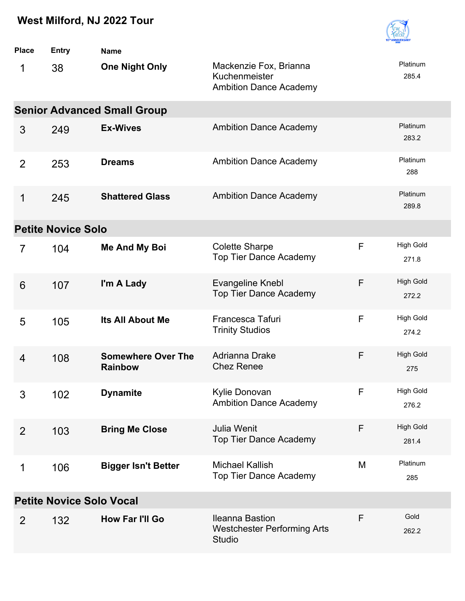

| <b>Place</b>                    | <b>Entry</b>              | <b>Name</b>                                 |                                                                               |   |                           |  |  |
|---------------------------------|---------------------------|---------------------------------------------|-------------------------------------------------------------------------------|---|---------------------------|--|--|
| 1                               | 38                        | <b>One Night Only</b>                       | Mackenzie Fox, Brianna<br>Kuchenmeister<br><b>Ambition Dance Academy</b>      |   | Platinum<br>285.4         |  |  |
|                                 |                           | <b>Senior Advanced Small Group</b>          |                                                                               |   |                           |  |  |
| 3                               | 249                       | <b>Ex-Wives</b>                             | <b>Ambition Dance Academy</b>                                                 |   | Platinum<br>283.2         |  |  |
| $\overline{2}$                  | 253                       | <b>Dreams</b>                               | <b>Ambition Dance Academy</b>                                                 |   | Platinum<br>288           |  |  |
| $\mathbf 1$                     | 245                       | <b>Shattered Glass</b>                      | <b>Ambition Dance Academy</b>                                                 |   | Platinum<br>289.8         |  |  |
|                                 | <b>Petite Novice Solo</b> |                                             |                                                                               |   |                           |  |  |
| $\overline{7}$                  | 104                       | <b>Me And My Boi</b>                        | <b>Colette Sharpe</b><br><b>Top Tier Dance Academy</b>                        | F | <b>High Gold</b><br>271.8 |  |  |
| 6                               | 107                       | I'm A Lady                                  | <b>Evangeline Knebl</b><br><b>Top Tier Dance Academy</b>                      | F | <b>High Gold</b><br>272.2 |  |  |
| 5                               | 105                       | Its All About Me                            | Francesca Tafuri<br><b>Trinity Studios</b>                                    | F | <b>High Gold</b><br>274.2 |  |  |
| 4                               | 108                       | <b>Somewhere Over The</b><br><b>Rainbow</b> | Adrianna Drake<br><b>Chez Renee</b>                                           | F | <b>High Gold</b><br>275   |  |  |
| 3                               | 102                       | <b>Dynamite</b>                             | Kylie Donovan<br><b>Ambition Dance Academy</b>                                | F | <b>High Gold</b><br>276.2 |  |  |
| 2                               | 103                       | <b>Bring Me Close</b>                       | Julia Wenit<br><b>Top Tier Dance Academy</b>                                  | F | <b>High Gold</b><br>281.4 |  |  |
| 1                               | 106                       | <b>Bigger Isn't Better</b>                  | <b>Michael Kallish</b><br><b>Top Tier Dance Academy</b>                       | M | Platinum<br>285           |  |  |
| <b>Petite Novice Solo Vocal</b> |                           |                                             |                                                                               |   |                           |  |  |
| 2                               | 132                       | How Far I'll Go                             | <b>Ileanna Bastion</b><br><b>Westchester Performing Arts</b><br><b>Studio</b> | F | Gold<br>262.2             |  |  |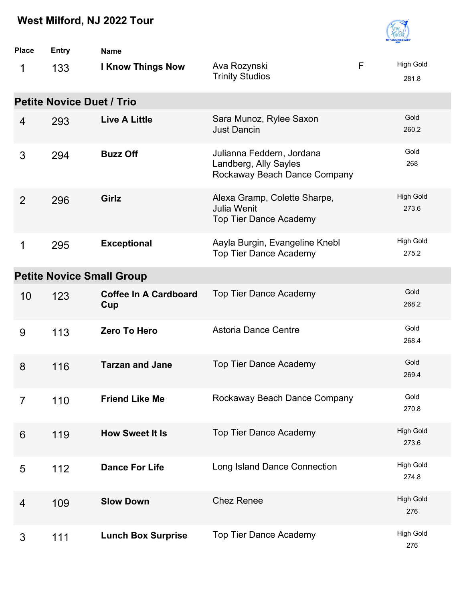

| <b>Place</b> | <b>Entry</b>                     | <b>Name</b>                         |                                                                                    |   |                           |
|--------------|----------------------------------|-------------------------------------|------------------------------------------------------------------------------------|---|---------------------------|
| 1            | 133                              | <b>I Know Things Now</b>            | Ava Rozynski<br><b>Trinity Studios</b>                                             | F | <b>High Gold</b><br>281.8 |
|              | <b>Petite Novice Duet / Trio</b> |                                     |                                                                                    |   |                           |
| 4            | 293                              | <b>Live A Little</b>                | Sara Munoz, Rylee Saxon<br><b>Just Dancin</b>                                      |   | Gold<br>260.2             |
| 3            | 294                              | <b>Buzz Off</b>                     | Julianna Feddern, Jordana<br>Landberg, Ally Sayles<br>Rockaway Beach Dance Company |   | Gold<br>268               |
| 2            | 296                              | Girlz                               | Alexa Gramp, Colette Sharpe,<br>Julia Wenit<br><b>Top Tier Dance Academy</b>       |   | <b>High Gold</b><br>273.6 |
| 1            | 295                              | <b>Exceptional</b>                  | Aayla Burgin, Evangeline Knebl<br><b>Top Tier Dance Academy</b>                    |   | <b>High Gold</b><br>275.2 |
|              |                                  | <b>Petite Novice Small Group</b>    |                                                                                    |   |                           |
| 10           | 123                              | <b>Coffee In A Cardboard</b><br>Cup | <b>Top Tier Dance Academy</b>                                                      |   | Gold<br>268.2             |
| 9            | 113                              | <b>Zero To Hero</b>                 | <b>Astoria Dance Centre</b>                                                        |   | Gold<br>268.4             |
| 8            | 116                              | <b>Tarzan and Jane</b>              | <b>Top Tier Dance Academy</b>                                                      |   | Gold<br>269.4             |
| 7            | 110                              | <b>Friend Like Me</b>               | Rockaway Beach Dance Company                                                       |   | Gold<br>270.8             |
| 6            | 119                              | <b>How Sweet It Is</b>              | Top Tier Dance Academy                                                             |   | <b>High Gold</b><br>273.6 |
| 5            | 112                              | <b>Dance For Life</b>               | Long Island Dance Connection                                                       |   | <b>High Gold</b><br>274.8 |
| 4            | 109                              | <b>Slow Down</b>                    | <b>Chez Renee</b>                                                                  |   | <b>High Gold</b><br>276   |
| 3            | 111                              | <b>Lunch Box Surprise</b>           | <b>Top Tier Dance Academy</b>                                                      |   | <b>High Gold</b><br>276   |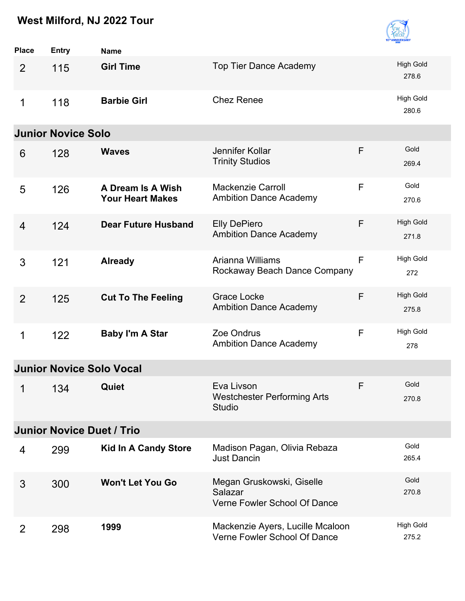

| <b>Place</b>   | Entry                            | <b>Name</b>                                  |                                                                      |   |                           |
|----------------|----------------------------------|----------------------------------------------|----------------------------------------------------------------------|---|---------------------------|
| $\overline{2}$ | 115                              | <b>Girl Time</b>                             | <b>Top Tier Dance Academy</b>                                        |   | <b>High Gold</b><br>278.6 |
| 1              | 118                              | <b>Barbie Girl</b>                           | <b>Chez Renee</b>                                                    |   | <b>High Gold</b><br>280.6 |
|                | <b>Junior Novice Solo</b>        |                                              |                                                                      |   |                           |
| 6              | 128                              | <b>Waves</b>                                 | Jennifer Kollar<br><b>Trinity Studios</b>                            | F | Gold<br>269.4             |
| 5              | 126                              | A Dream Is A Wish<br><b>Your Heart Makes</b> | <b>Mackenzie Carroll</b><br><b>Ambition Dance Academy</b>            | F | Gold<br>270.6             |
| 4              | 124                              | <b>Dear Future Husband</b>                   | <b>Elly DePiero</b><br><b>Ambition Dance Academy</b>                 | F | <b>High Gold</b><br>271.8 |
| 3              | 121                              | <b>Already</b>                               | Arianna Williams<br>Rockaway Beach Dance Company                     | F | <b>High Gold</b><br>272   |
| $\overline{2}$ | 125                              | <b>Cut To The Feeling</b>                    | <b>Grace Locke</b><br><b>Ambition Dance Academy</b>                  | F | <b>High Gold</b><br>275.8 |
| 1              | 122                              | <b>Baby I'm A Star</b>                       | Zoe Ondrus<br><b>Ambition Dance Academy</b>                          | F | <b>High Gold</b><br>278   |
|                | <b>Junior Novice Solo Vocal</b>  |                                              |                                                                      |   |                           |
|                | 134<br>$1 \quad \blacksquare$    | Quiet                                        | Eva Livson<br><b>Westchester Performing Arts</b><br><b>Studio</b>    | F | Gold<br>270.8             |
|                | <b>Junior Novice Duet / Trio</b> |                                              |                                                                      |   |                           |
| 4              | 299                              | <b>Kid In A Candy Store</b>                  | Madison Pagan, Olivia Rebaza<br><b>Just Dancin</b>                   |   | Gold<br>265.4             |
| 3              | 300                              | <b>Won't Let You Go</b>                      | Megan Gruskowski, Giselle<br>Salazar<br>Verne Fowler School Of Dance |   | Gold<br>270.8             |
| 2              | 298                              | 1999                                         | Mackenzie Ayers, Lucille Mcaloon<br>Verne Fowler School Of Dance     |   | High Gold<br>275.2        |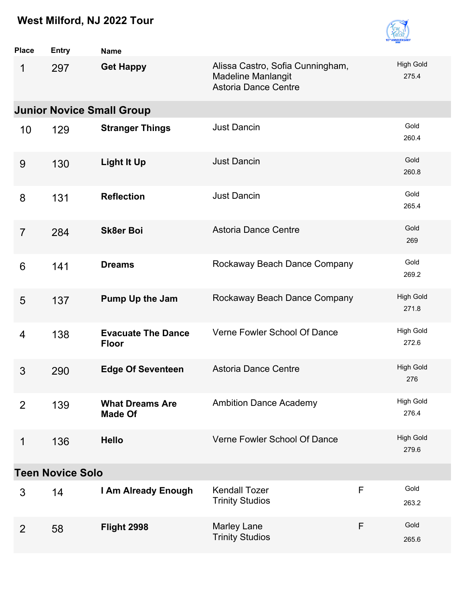

| <b>Place</b>   | <b>Entry</b>            | <b>Name</b>                                                                                               |                                                |              |                           |  |  |
|----------------|-------------------------|-----------------------------------------------------------------------------------------------------------|------------------------------------------------|--------------|---------------------------|--|--|
| 1              | 297                     | Alissa Castro, Sofia Cunningham,<br><b>Get Happy</b><br>Madeline Manlangit<br><b>Astoria Dance Centre</b> |                                                |              | <b>High Gold</b><br>275.4 |  |  |
|                |                         | <b>Junior Novice Small Group</b>                                                                          |                                                |              |                           |  |  |
| 10             | 129                     | <b>Stranger Things</b>                                                                                    | <b>Just Dancin</b>                             |              | Gold<br>260.4             |  |  |
| 9              | 130                     | <b>Light It Up</b>                                                                                        | <b>Just Dancin</b>                             |              | Gold<br>260.8             |  |  |
| 8              | 131                     | <b>Reflection</b>                                                                                         | <b>Just Dancin</b>                             |              | Gold<br>265.4             |  |  |
| $\overline{7}$ | 284                     | <b>Astoria Dance Centre</b><br><b>Sk8er Boi</b>                                                           |                                                |              | Gold<br>269               |  |  |
| 6              | 141                     | Rockaway Beach Dance Company<br><b>Dreams</b>                                                             |                                                |              | Gold<br>269.2             |  |  |
| 5              | 137                     | <b>Pump Up the Jam</b>                                                                                    | Rockaway Beach Dance Company                   |              | <b>High Gold</b><br>271.8 |  |  |
| 4              | 138                     | <b>Evacuate The Dance</b><br><b>Floor</b>                                                                 | Verne Fowler School Of Dance                   |              | <b>High Gold</b><br>272.6 |  |  |
| 3              | 290                     | <b>Edge Of Seventeen</b>                                                                                  | <b>Astoria Dance Centre</b>                    |              | <b>High Gold</b><br>276   |  |  |
| $\overline{2}$ | 139                     | <b>What Dreams Are</b><br><b>Made Of</b>                                                                  | <b>Ambition Dance Academy</b>                  |              | <b>High Gold</b><br>276.4 |  |  |
| 1              | 136                     | <b>Hello</b>                                                                                              | Verne Fowler School Of Dance                   |              | <b>High Gold</b><br>279.6 |  |  |
|                | <b>Teen Novice Solo</b> |                                                                                                           |                                                |              |                           |  |  |
| 3              | 14                      | I Am Already Enough                                                                                       | <b>Kendall Tozer</b><br><b>Trinity Studios</b> | $\mathsf{F}$ | Gold<br>263.2             |  |  |
| 2              | 58                      | Flight 2998                                                                                               | <b>Marley Lane</b><br><b>Trinity Studios</b>   | F            | Gold<br>265.6             |  |  |